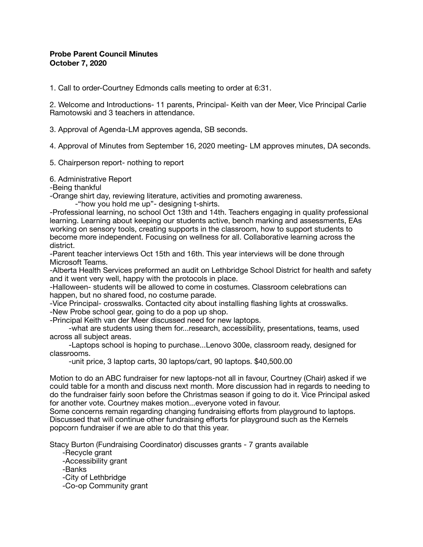## **Probe Parent Council Minutes October 7, 2020**

1. Call to order-Courtney Edmonds calls meeting to order at 6:31.

2. Welcome and Introductions- 11 parents, Principal- Keith van der Meer, Vice Principal Carlie Ramotowski and 3 teachers in attendance.

3. Approval of Agenda-LM approves agenda, SB seconds.

4. Approval of Minutes from September 16, 2020 meeting- LM approves minutes, DA seconds.

5. Chairperson report- nothing to report

6. Administrative Report

-Being thankful

-Orange shirt day, reviewing literature, activities and promoting awareness.

-"how you hold me up"- designing t-shirts.

-Professional learning, no school Oct 13th and 14th. Teachers engaging in quality professional learning. Learning about keeping our students active, bench marking and assessments, EAs working on sensory tools, creating supports in the classroom, how to support students to become more independent. Focusing on wellness for all. Collaborative learning across the district.

-Parent teacher interviews Oct 15th and 16th. This year interviews will be done through Microsoft Teams.

-Alberta Health Services preformed an audit on Lethbridge School District for health and safety and it went very well, happy with the protocols in place.

-Halloween- students will be allowed to come in costumes. Classroom celebrations can happen, but no shared food, no costume parade.

-Vice Principal- crosswalks. Contacted city about installing flashing lights at crosswalks.

-New Probe school gear, going to do a pop up shop.

-Principal Keith van der Meer discussed need for new laptops.

 -what are students using them for...research, accessibility, presentations, teams, used across all subject areas.

 -Laptops school is hoping to purchase...Lenovo 300e, classroom ready, designed for classrooms.

-unit price, 3 laptop carts, 30 laptops/cart, 90 laptops. \$40,500.00

Motion to do an ABC fundraiser for new laptops-not all in favour, Courtney (Chair) asked if we could table for a month and discuss next month. More discussion had in regards to needing to do the fundraiser fairly soon before the Christmas season if going to do it. Vice Principal asked for another vote. Courtney makes motion...everyone voted in favour.

Some concerns remain regarding changing fundraising efforts from playground to laptops. Discussed that will continue other fundraising efforts for playground such as the Kernels popcorn fundraiser if we are able to do that this year.

Stacy Burton (Fundraising Coordinator) discusses grants - 7 grants available

-Recycle grant

-Accessibility grant

-Banks

-City of Lethbridge

-Co-op Community grant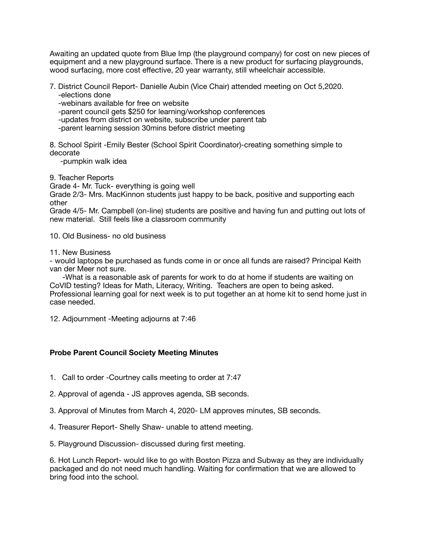Awaiting an updated quote from Blue Imp (the playground company) for cost on new pieces of equipment and a new playground surface. There is a new product for surfacing playgrounds, wood surfacing, more cost effective, 20 year warranty, still wheelchair accessible.

- 7. District Council Report- Danielle Aubin (Vice Chair) attended meeting on Oct 5,2020.
	- -elections done
	- -webinars available for free on website
	- -parent council gets \$250 for learning/workshop conferences
	- -updates from district on website, subscribe under parent tab
	- -parent learning session 30mins before district meeting

8. School Spirit -Emily Bester (School Spirit Coordinator)-creating something simple to decorate

-pumpkin walk idea

9. Teacher Reports

Grade 4- Mr. Tuck- everything is going well

Grade 2/3- Mrs. MacKinnon students just happy to be back, positive and supporting each other

Grade 4/5- Mr. Campbell (on-line) students are positive and having fun and putting out lots of new material. Still feels like a classroom community

10. Old Business- no old business

11. New Business

- would laptops be purchased as funds come in or once all funds are raised? Principal Keith van der Meer not sure.

 -What is a reasonable ask of parents for work to do at home if students are waiting on CoVID testing? Ideas for Math, Literacy, Writing. Teachers are open to being asked. Professional learning goal for next week is to put together an at home kit to send home just in case needed.

12. Adjournment -Meeting adjourns at 7:46

## **Probe Parent Council Society Meeting Minutes**

- 1. Call to order -Courtney calls meeting to order at 7:47
- 2. Approval of agenda JS approves agenda, SB seconds.
- 3. Approval of Minutes from March 4, 2020- LM approves minutes, SB seconds.
- 4. Treasurer Report- Shelly Shaw- unable to attend meeting.
- 5. Playground Discussion- discussed during first meeting.

6. Hot Lunch Report- would like to go with Boston Pizza and Subway as they are individually packaged and do not need much handling. Waiting for confirmation that we are allowed to bring food into the school.